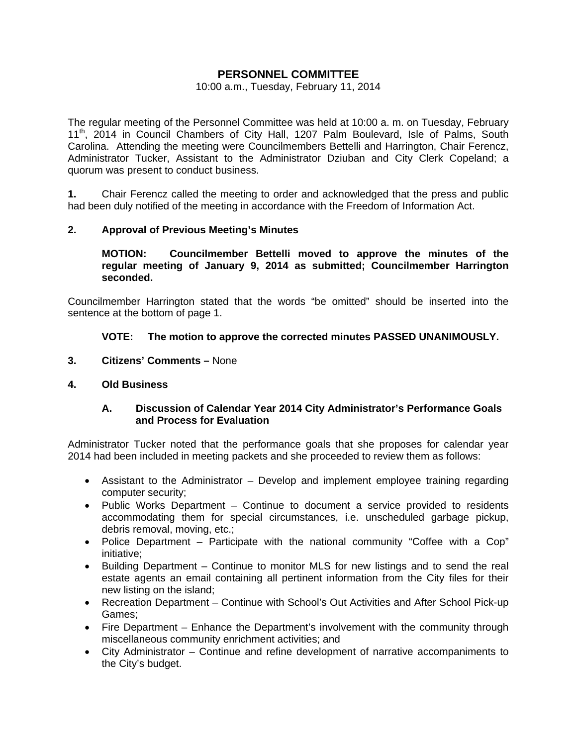# **PERSONNEL COMMITTEE**

#### 10:00 a.m., Tuesday, February 11, 2014

The regular meeting of the Personnel Committee was held at 10:00 a. m. on Tuesday, February 11<sup>th</sup>, 2014 in Council Chambers of City Hall, 1207 Palm Boulevard, Isle of Palms, South Carolina. Attending the meeting were Councilmembers Bettelli and Harrington, Chair Ferencz, Administrator Tucker, Assistant to the Administrator Dziuban and City Clerk Copeland; a quorum was present to conduct business.

**1.** Chair Ferencz called the meeting to order and acknowledged that the press and public had been duly notified of the meeting in accordance with the Freedom of Information Act.

### **2. Approval of Previous Meeting's Minutes**

 **MOTION: Councilmember Bettelli moved to approve the minutes of the regular meeting of January 9, 2014 as submitted; Councilmember Harrington seconded.** 

Councilmember Harrington stated that the words "be omitted" should be inserted into the sentence at the bottom of page 1.

### **VOTE: The motion to approve the corrected minutes PASSED UNANIMOUSLY.**

- **3. Citizens' Comments** None
- **4. Old Business**

### **A. Discussion of Calendar Year 2014 City Administrator's Performance Goals and Process for Evaluation**

Administrator Tucker noted that the performance goals that she proposes for calendar year 2014 had been included in meeting packets and she proceeded to review them as follows:

- Assistant to the Administrator Develop and implement employee training regarding computer security;
- Public Works Department Continue to document a service provided to residents accommodating them for special circumstances, i.e. unscheduled garbage pickup, debris removal, moving, etc.;
- Police Department Participate with the national community "Coffee with a Cop" initiative;
- Building Department Continue to monitor MLS for new listings and to send the real estate agents an email containing all pertinent information from the City files for their new listing on the island;
- Recreation Department Continue with School's Out Activities and After School Pick-up Games;
- Fire Department Enhance the Department's involvement with the community through miscellaneous community enrichment activities; and
- City Administrator Continue and refine development of narrative accompaniments to the City's budget.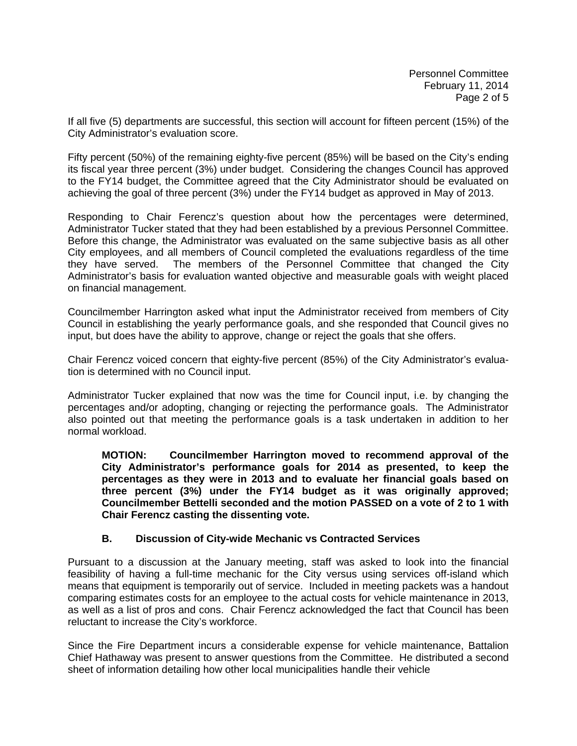If all five (5) departments are successful, this section will account for fifteen percent (15%) of the City Administrator's evaluation score.

Fifty percent (50%) of the remaining eighty-five percent (85%) will be based on the City's ending its fiscal year three percent (3%) under budget. Considering the changes Council has approved to the FY14 budget, the Committee agreed that the City Administrator should be evaluated on achieving the goal of three percent (3%) under the FY14 budget as approved in May of 2013.

Responding to Chair Ferencz's question about how the percentages were determined, Administrator Tucker stated that they had been established by a previous Personnel Committee. Before this change, the Administrator was evaluated on the same subjective basis as all other City employees, and all members of Council completed the evaluations regardless of the time they have served. The members of the Personnel Committee that changed the City Administrator's basis for evaluation wanted objective and measurable goals with weight placed on financial management.

Councilmember Harrington asked what input the Administrator received from members of City Council in establishing the yearly performance goals, and she responded that Council gives no input, but does have the ability to approve, change or reject the goals that she offers.

Chair Ferencz voiced concern that eighty-five percent (85%) of the City Administrator's evaluation is determined with no Council input.

Administrator Tucker explained that now was the time for Council input, i.e. by changing the percentages and/or adopting, changing or rejecting the performance goals. The Administrator also pointed out that meeting the performance goals is a task undertaken in addition to her normal workload.

**MOTION: Councilmember Harrington moved to recommend approval of the City Administrator's performance goals for 2014 as presented, to keep the percentages as they were in 2013 and to evaluate her financial goals based on three percent (3%) under the FY14 budget as it was originally approved; Councilmember Bettelli seconded and the motion PASSED on a vote of 2 to 1 with Chair Ferencz casting the dissenting vote.** 

## **B. Discussion of City-wide Mechanic vs Contracted Services**

Pursuant to a discussion at the January meeting, staff was asked to look into the financial feasibility of having a full-time mechanic for the City versus using services off-island which means that equipment is temporarily out of service. Included in meeting packets was a handout comparing estimates costs for an employee to the actual costs for vehicle maintenance in 2013, as well as a list of pros and cons. Chair Ferencz acknowledged the fact that Council has been reluctant to increase the City's workforce.

Since the Fire Department incurs a considerable expense for vehicle maintenance, Battalion Chief Hathaway was present to answer questions from the Committee. He distributed a second sheet of information detailing how other local municipalities handle their vehicle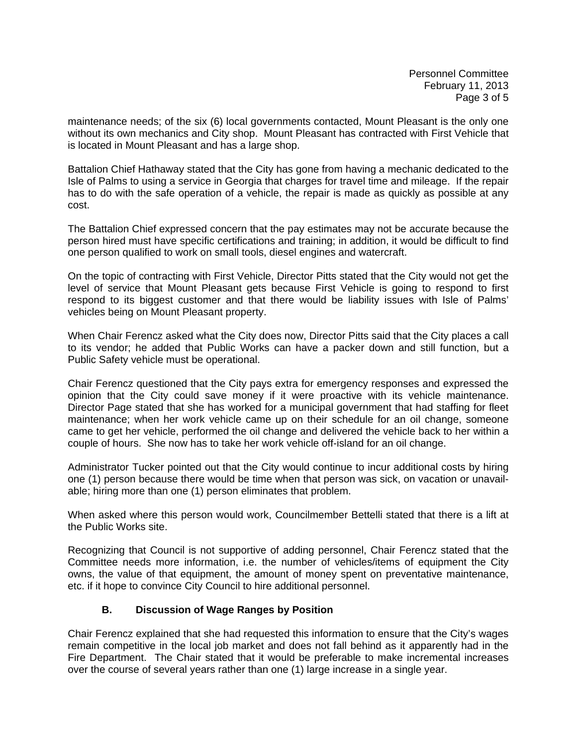Personnel Committee February 11, 2013 Page 3 of 5

maintenance needs; of the six (6) local governments contacted, Mount Pleasant is the only one without its own mechanics and City shop. Mount Pleasant has contracted with First Vehicle that is located in Mount Pleasant and has a large shop.

Battalion Chief Hathaway stated that the City has gone from having a mechanic dedicated to the Isle of Palms to using a service in Georgia that charges for travel time and mileage. If the repair has to do with the safe operation of a vehicle, the repair is made as quickly as possible at any cost.

The Battalion Chief expressed concern that the pay estimates may not be accurate because the person hired must have specific certifications and training; in addition, it would be difficult to find one person qualified to work on small tools, diesel engines and watercraft.

On the topic of contracting with First Vehicle, Director Pitts stated that the City would not get the level of service that Mount Pleasant gets because First Vehicle is going to respond to first respond to its biggest customer and that there would be liability issues with Isle of Palms' vehicles being on Mount Pleasant property.

When Chair Ferencz asked what the City does now, Director Pitts said that the City places a call to its vendor; he added that Public Works can have a packer down and still function, but a Public Safety vehicle must be operational.

Chair Ferencz questioned that the City pays extra for emergency responses and expressed the opinion that the City could save money if it were proactive with its vehicle maintenance. Director Page stated that she has worked for a municipal government that had staffing for fleet maintenance; when her work vehicle came up on their schedule for an oil change, someone came to get her vehicle, performed the oil change and delivered the vehicle back to her within a couple of hours. She now has to take her work vehicle off-island for an oil change.

Administrator Tucker pointed out that the City would continue to incur additional costs by hiring one (1) person because there would be time when that person was sick, on vacation or unavailable; hiring more than one (1) person eliminates that problem.

When asked where this person would work, Councilmember Bettelli stated that there is a lift at the Public Works site.

Recognizing that Council is not supportive of adding personnel, Chair Ferencz stated that the Committee needs more information, i.e. the number of vehicles/items of equipment the City owns, the value of that equipment, the amount of money spent on preventative maintenance, etc. if it hope to convince City Council to hire additional personnel.

## **B. Discussion of Wage Ranges by Position**

Chair Ferencz explained that she had requested this information to ensure that the City's wages remain competitive in the local job market and does not fall behind as it apparently had in the Fire Department. The Chair stated that it would be preferable to make incremental increases over the course of several years rather than one (1) large increase in a single year.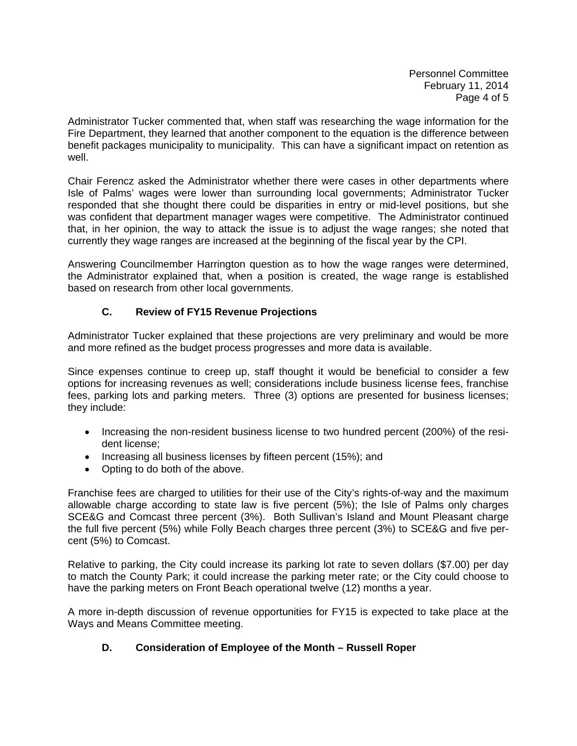Personnel Committee February 11, 2014 Page 4 of 5

Administrator Tucker commented that, when staff was researching the wage information for the Fire Department, they learned that another component to the equation is the difference between benefit packages municipality to municipality. This can have a significant impact on retention as well.

Chair Ferencz asked the Administrator whether there were cases in other departments where Isle of Palms' wages were lower than surrounding local governments; Administrator Tucker responded that she thought there could be disparities in entry or mid-level positions, but she was confident that department manager wages were competitive. The Administrator continued that, in her opinion, the way to attack the issue is to adjust the wage ranges; she noted that currently they wage ranges are increased at the beginning of the fiscal year by the CPI.

Answering Councilmember Harrington question as to how the wage ranges were determined, the Administrator explained that, when a position is created, the wage range is established based on research from other local governments.

## **C. Review of FY15 Revenue Projections**

Administrator Tucker explained that these projections are very preliminary and would be more and more refined as the budget process progresses and more data is available.

Since expenses continue to creep up, staff thought it would be beneficial to consider a few options for increasing revenues as well; considerations include business license fees, franchise fees, parking lots and parking meters. Three (3) options are presented for business licenses; they include:

- Increasing the non-resident business license to two hundred percent (200%) of the resident license;
- Increasing all business licenses by fifteen percent (15%); and
- Opting to do both of the above.

Franchise fees are charged to utilities for their use of the City's rights-of-way and the maximum allowable charge according to state law is five percent (5%); the Isle of Palms only charges SCE&G and Comcast three percent (3%). Both Sullivan's Island and Mount Pleasant charge the full five percent (5%) while Folly Beach charges three percent (3%) to SCE&G and five percent (5%) to Comcast.

Relative to parking, the City could increase its parking lot rate to seven dollars (\$7.00) per day to match the County Park; it could increase the parking meter rate; or the City could choose to have the parking meters on Front Beach operational twelve (12) months a year.

A more in-depth discussion of revenue opportunities for FY15 is expected to take place at the Ways and Means Committee meeting.

## **D. Consideration of Employee of the Month – Russell Roper**